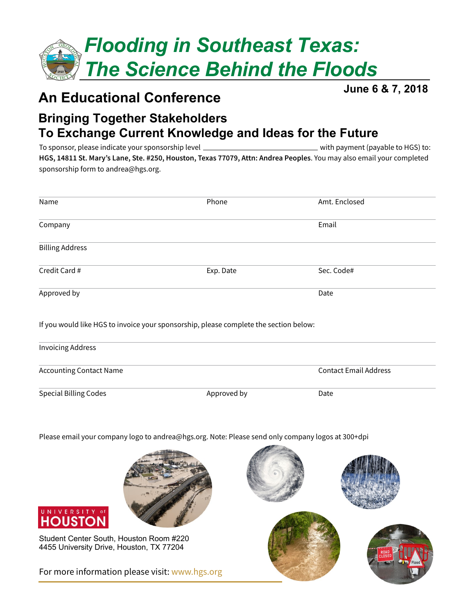

### **An Educational Conference**

**June 6 & 7, 2018**

### **Bringing Together Stakeholders To Exchange Current Knowledge and Ideas for the Future**

To sponsor, please indicate your sponsorship level with payment (payable to HGS) to: **HGS, 14811 St. Mary's Lane, Ste. #250, Houston, Texas 77079, Attn: Andrea Peoples**. You may also email your completed sponsorship form to andrea@hgs.org.

| Name                   | Phone                                                                                 | Amt. Enclosed |
|------------------------|---------------------------------------------------------------------------------------|---------------|
| Company                |                                                                                       | Email         |
| <b>Billing Address</b> |                                                                                       |               |
| Credit Card #          | Exp. Date                                                                             | Sec. Code#    |
| Approved by            |                                                                                       | Date          |
|                        | If you would like HGS to invoice your sponsorship, please complete the section below: |               |

| <b>Invoicing Address</b>       |             |                              |
|--------------------------------|-------------|------------------------------|
| <b>Accounting Contact Name</b> |             | <b>Contact Email Address</b> |
| <b>Special Billing Codes</b>   | Approved by | Date                         |

Please email your company logo to andrea@hgs.org. Note: Please send only company logos at 300+dpi